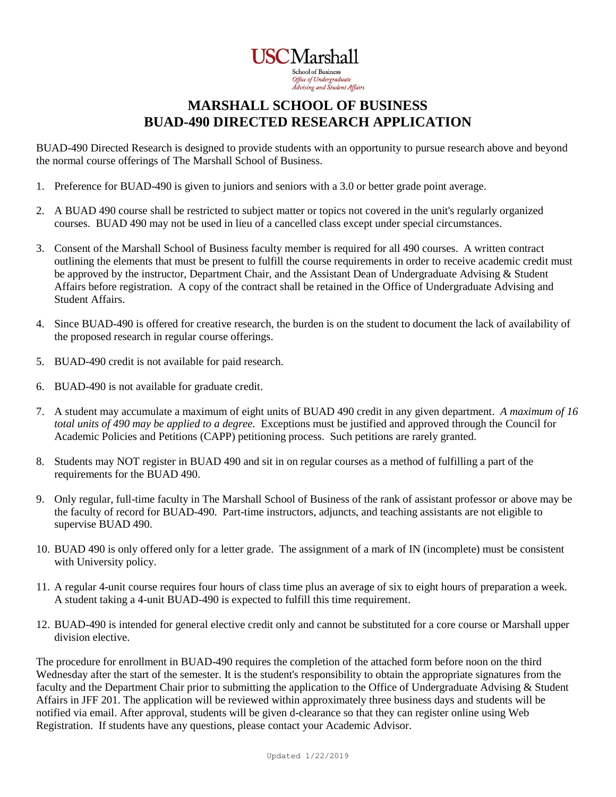**USCMarshall School of Business** Office of Undergraduate Advising and Student Affairs

## **MARSHALL SCHOOL OF BUSINESS BUAD-490 DIRECTED RESEARCH APPLICATION**

BUAD-490 Directed Research is designed to provide students with an opportunity to pursue research above and beyond the normal course offerings of The Marshall School of Business.

- 1. Preference for BUAD-490 is given to juniors and seniors with a 3.0 or better grade point average.
- 2. A BUAD 490 course shall be restricted to subject matter or topics not covered in the unit's regularly organized courses. BUAD 490 may not be used in lieu of a cancelled class except under special circumstances.
- 3. Consent of the Marshall School of Business faculty member is required for all 490 courses. A written contract outlining the elements that must be present to fulfill the course requirements in order to receive academic credit must be approved by the instructor, Department Chair, and the Assistant Dean of Undergraduate Advising & Student Affairs before registration. A copy of the contract shall be retained in the Office of Undergraduate Advising and Student Affairs.
- 4. Since BUAD-490 is offered for creative research, the burden is on the student to document the lack of availability of the proposed research in regular course offerings.
- 5. BUAD-490 credit is not available for paid research.
- 6. BUAD-490 is not available for graduate credit.
- 7. A student may accumulate a maximum of eight units of BUAD 490 credit in any given department. *A maximum of 16 total units of 490 may be applied to a degree.* Exceptions must be justified and approved through the Council for Academic Policies and Petitions (CAPP) petitioning process. Such petitions are rarely granted.
- 8. Students may NOT register in BUAD 490 and sit in on regular courses as a method of fulfilling a part of the requirements for the BUAD 490.
- 9. Only regular, full-time faculty in The Marshall School of Business of the rank of assistant professor or above may be the faculty of record for BUAD-490. Part-time instructors, adjuncts, and teaching assistants are not eligible to supervise BUAD 490.
- 10. BUAD 490 is only offered only for a letter grade. The assignment of a mark of IN (incomplete) must be consistent with University policy.
- 11. A regular 4-unit course requires four hours of class time plus an average of six to eight hours of preparation a week. A student taking a 4-unit BUAD-490 is expected to fulfill this time requirement.
- 12. BUAD-490 is intended for general elective credit only and cannot be substituted for a core course or Marshall upper division elective.

The procedure for enrollment in BUAD-490 requires the completion of the attached form before noon on the third Wednesday after the start of the semester. It is the student's responsibility to obtain the appropriate signatures from the faculty and the Department Chair prior to submitting the application to the Office of Undergraduate Advising & Student Affairs in JFF 201. The application will be reviewed within approximately three business days and students will be notified via email. After approval, students will be given d-clearance so that they can register online using Web Registration. If students have any questions, please contact your Academic Advisor.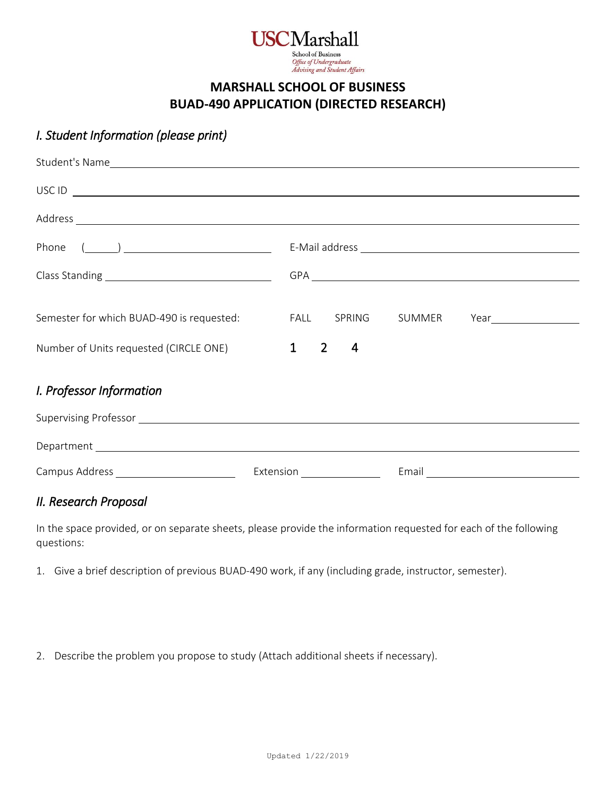

#### **MARSHALL SCHOOL OF BUSINESS BUAD-490 APPLICATION (DIRECTED RESEARCH)**

## *I. Student Information (please print)*

|                                           | $\overline{C}$ USC ID $\overline{C}$ |
|-------------------------------------------|--------------------------------------|
|                                           |                                      |
| Phone $(\_\_)$                            |                                      |
|                                           |                                      |
|                                           |                                      |
| Semester for which BUAD-490 is requested: | FALL SPRING<br>SUMMER                |
| Number of Units requested (CIRCLE ONE)    | $1 \quad 2$<br>4                     |
| I. Professor Information                  |                                      |
|                                           |                                      |
|                                           |                                      |
|                                           |                                      |

### *II. Research Proposal*

In the space provided, or on separate sheets, please provide the information requested for each of the following questions:

- 1. Give a brief description of previous BUAD-490 work, if any (including grade, instructor, semester).
- 2. Describe the problem you propose to study (Attach additional sheets if necessary).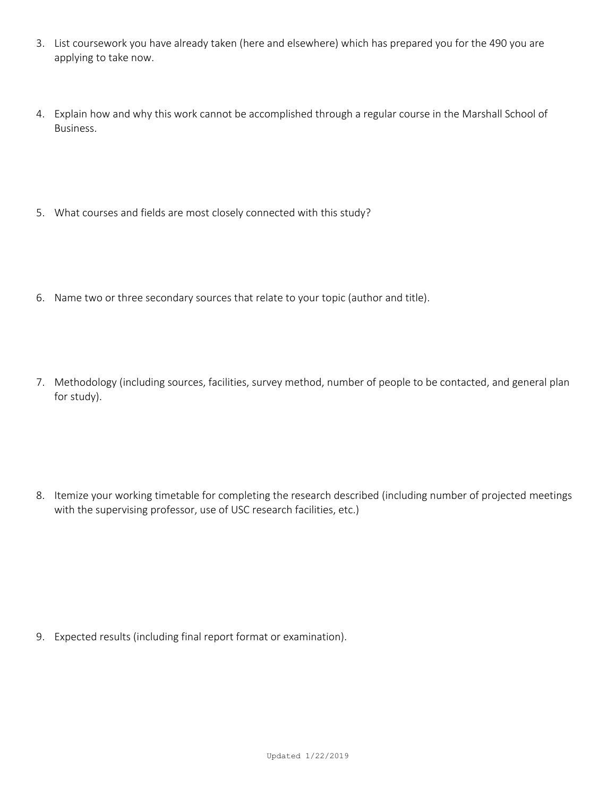- 3. List coursework you have already taken (here and elsewhere) which has prepared you for the 490 you are applying to take now.
- 4. Explain how and why this work cannot be accomplished through a regular course in the Marshall School of Business.
- 5. What courses and fields are most closely connected with this study?
- 6. Name two or three secondary sources that relate to your topic (author and title).
- 7. Methodology (including sources, facilities, survey method, number of people to be contacted, and general plan for study).

8. Itemize your working timetable for completing the research described (including number of projected meetings with the supervising professor, use of USC research facilities, etc.)

9. Expected results (including final report format or examination).